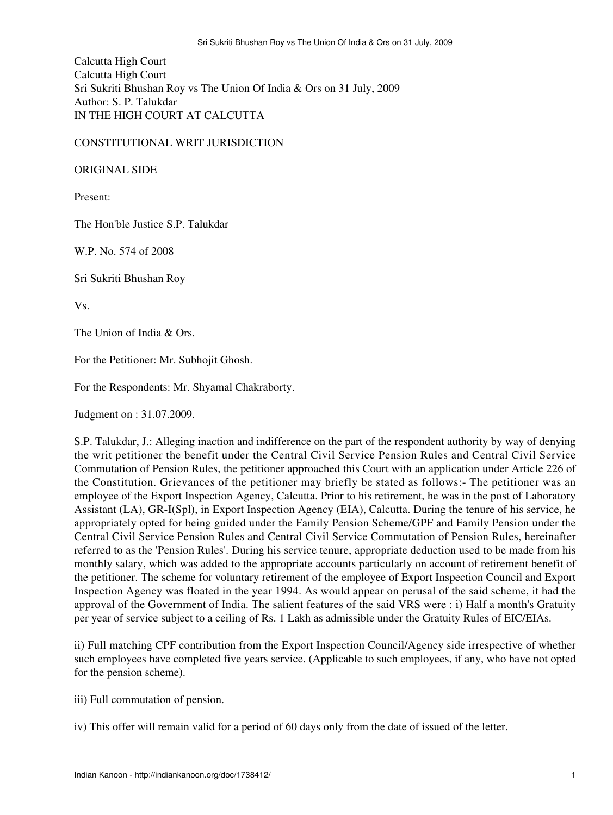Calcutta High Court Calcutta High Court Sri Sukriti Bhushan Roy vs The Union Of India & Ors on 31 July, 2009 Author: S. P. Talukdar IN THE HIGH COURT AT CALCUTTA

CONSTITUTIONAL WRIT JURISDICTION

ORIGINAL SIDE

Present:

The Hon'ble Justice S.P. Talukdar

W.P. No. 574 of 2008

Sri Sukriti Bhushan Roy

Vs.

The Union of India & Ors.

For the Petitioner: Mr. Subhojit Ghosh.

For the Respondents: Mr. Shyamal Chakraborty.

Judgment on : 31.07.2009.

S.P. Talukdar, J.: Alleging inaction and indifference on the part of the respondent authority by way of denying the writ petitioner the benefit under the Central Civil Service Pension Rules and Central Civil Service Commutation of Pension Rules, the petitioner approached this Court with an application under Article 226 of the Constitution. Grievances of the petitioner may briefly be stated as follows:- The petitioner was an employee of the Export Inspection Agency, Calcutta. Prior to his retirement, he was in the post of Laboratory Assistant (LA), GR-I(Spl), in Export Inspection Agency (EIA), Calcutta. During the tenure of his service, he appropriately opted for being guided under the Family Pension Scheme/GPF and Family Pension under the Central Civil Service Pension Rules and Central Civil Service Commutation of Pension Rules, hereinafter referred to as the 'Pension Rules'. During his service tenure, appropriate deduction used to be made from his monthly salary, which was added to the appropriate accounts particularly on account of retirement benefit of the petitioner. The scheme for voluntary retirement of the employee of Export Inspection Council and Export Inspection Agency was floated in the year 1994. As would appear on perusal of the said scheme, it had the approval of the Government of India. The salient features of the said VRS were : i) Half a month's Gratuity per year of service subject to a ceiling of Rs. 1 Lakh as admissible under the Gratuity Rules of EIC/EIAs.

ii) Full matching CPF contribution from the Export Inspection Council/Agency side irrespective of whether such employees have completed five years service. (Applicable to such employees, if any, who have not opted for the pension scheme).

iii) Full commutation of pension.

iv) This offer will remain valid for a period of 60 days only from the date of issued of the letter.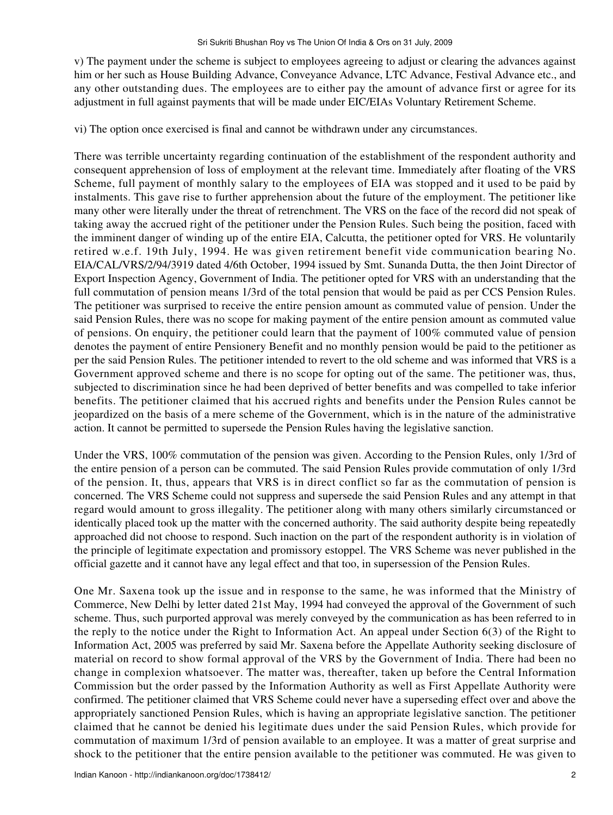v) The payment under the scheme is subject to employees agreeing to adjust or clearing the advances against him or her such as House Building Advance, Conveyance Advance, LTC Advance, Festival Advance etc., and any other outstanding dues. The employees are to either pay the amount of advance first or agree for its adjustment in full against payments that will be made under EIC/EIAs Voluntary Retirement Scheme.

vi) The option once exercised is final and cannot be withdrawn under any circumstances.

There was terrible uncertainty regarding continuation of the establishment of the respondent authority and consequent apprehension of loss of employment at the relevant time. Immediately after floating of the VRS Scheme, full payment of monthly salary to the employees of EIA was stopped and it used to be paid by instalments. This gave rise to further apprehension about the future of the employment. The petitioner like many other were literally under the threat of retrenchment. The VRS on the face of the record did not speak of taking away the accrued right of the petitioner under the Pension Rules. Such being the position, faced with the imminent danger of winding up of the entire EIA, Calcutta, the petitioner opted for VRS. He voluntarily retired w.e.f. 19th July, 1994. He was given retirement benefit vide communication bearing No. EIA/CAL/VRS/2/94/3919 dated 4/6th October, 1994 issued by Smt. Sunanda Dutta, the then Joint Director of Export Inspection Agency, Government of India. The petitioner opted for VRS with an understanding that the full commutation of pension means 1/3rd of the total pension that would be paid as per CCS Pension Rules. The petitioner was surprised to receive the entire pension amount as commuted value of pension. Under the said Pension Rules, there was no scope for making payment of the entire pension amount as commuted value of pensions. On enquiry, the petitioner could learn that the payment of 100% commuted value of pension denotes the payment of entire Pensionery Benefit and no monthly pension would be paid to the petitioner as per the said Pension Rules. The petitioner intended to revert to the old scheme and was informed that VRS is a Government approved scheme and there is no scope for opting out of the same. The petitioner was, thus, subjected to discrimination since he had been deprived of better benefits and was compelled to take inferior benefits. The petitioner claimed that his accrued rights and benefits under the Pension Rules cannot be jeopardized on the basis of a mere scheme of the Government, which is in the nature of the administrative action. It cannot be permitted to supersede the Pension Rules having the legislative sanction.

Under the VRS, 100% commutation of the pension was given. According to the Pension Rules, only 1/3rd of the entire pension of a person can be commuted. The said Pension Rules provide commutation of only 1/3rd of the pension. It, thus, appears that VRS is in direct conflict so far as the commutation of pension is concerned. The VRS Scheme could not suppress and supersede the said Pension Rules and any attempt in that regard would amount to gross illegality. The petitioner along with many others similarly circumstanced or identically placed took up the matter with the concerned authority. The said authority despite being repeatedly approached did not choose to respond. Such inaction on the part of the respondent authority is in violation of the principle of legitimate expectation and promissory estoppel. The VRS Scheme was never published in the official gazette and it cannot have any legal effect and that too, in supersession of the Pension Rules.

One Mr. Saxena took up the issue and in response to the same, he was informed that the Ministry of Commerce, New Delhi by letter dated 21st May, 1994 had conveyed the approval of the Government of such scheme. Thus, such purported approval was merely conveyed by the communication as has been referred to in the reply to the notice under the Right to Information Act. An appeal under Section 6(3) of the Right to Information Act, 2005 was preferred by said Mr. Saxena before the Appellate Authority seeking disclosure of material on record to show formal approval of the VRS by the Government of India. There had been no change in complexion whatsoever. The matter was, thereafter, taken up before the Central Information Commission but the order passed by the Information Authority as well as First Appellate Authority were confirmed. The petitioner claimed that VRS Scheme could never have a superseding effect over and above the appropriately sanctioned Pension Rules, which is having an appropriate legislative sanction. The petitioner claimed that he cannot be denied his legitimate dues under the said Pension Rules, which provide for commutation of maximum 1/3rd of pension available to an employee. It was a matter of great surprise and shock to the petitioner that the entire pension available to the petitioner was commuted. He was given to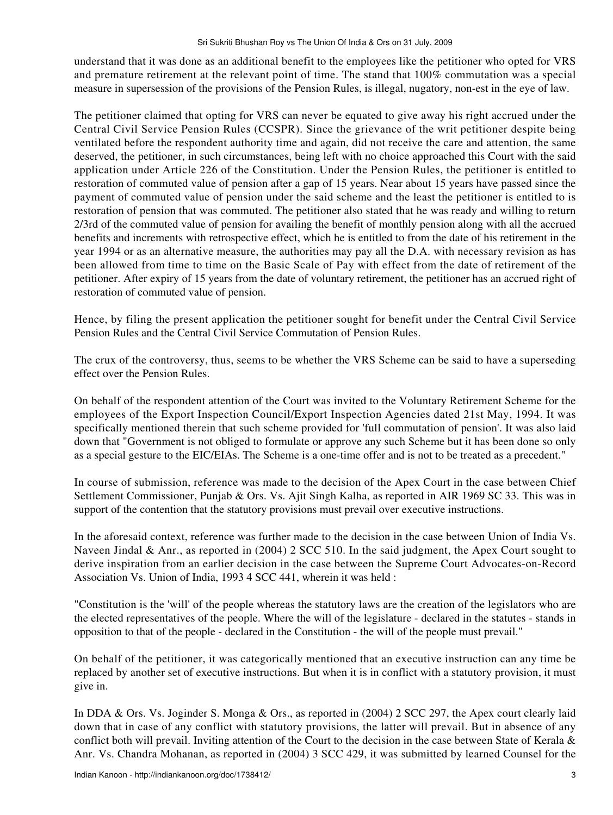understand that it was done as an additional benefit to the employees like the petitioner who opted for VRS and premature retirement at the relevant point of time. The stand that 100% commutation was a special measure in supersession of the provisions of the Pension Rules, is illegal, nugatory, non-est in the eye of law.

The petitioner claimed that opting for VRS can never be equated to give away his right accrued under the Central Civil Service Pension Rules (CCSPR). Since the grievance of the writ petitioner despite being ventilated before the respondent authority time and again, did not receive the care and attention, the same deserved, the petitioner, in such circumstances, being left with no choice approached this Court with the said application under Article 226 of the Constitution. Under the Pension Rules, the petitioner is entitled to restoration of commuted value of pension after a gap of 15 years. Near about 15 years have passed since the payment of commuted value of pension under the said scheme and the least the petitioner is entitled to is restoration of pension that was commuted. The petitioner also stated that he was ready and willing to return 2/3rd of the commuted value of pension for availing the benefit of monthly pension along with all the accrued benefits and increments with retrospective effect, which he is entitled to from the date of his retirement in the year 1994 or as an alternative measure, the authorities may pay all the D.A. with necessary revision as has been allowed from time to time on the Basic Scale of Pay with effect from the date of retirement of the petitioner. After expiry of 15 years from the date of voluntary retirement, the petitioner has an accrued right of restoration of commuted value of pension.

Hence, by filing the present application the petitioner sought for benefit under the Central Civil Service Pension Rules and the Central Civil Service Commutation of Pension Rules.

The crux of the controversy, thus, seems to be whether the VRS Scheme can be said to have a superseding effect over the Pension Rules.

On behalf of the respondent attention of the Court was invited to the Voluntary Retirement Scheme for the employees of the Export Inspection Council/Export Inspection Agencies dated 21st May, 1994. It was specifically mentioned therein that such scheme provided for 'full commutation of pension'. It was also laid down that "Government is not obliged to formulate or approve any such Scheme but it has been done so only as a special gesture to the EIC/EIAs. The Scheme is a one-time offer and is not to be treated as a precedent."

In course of submission, reference was made to the decision of the Apex Court in the case between Chief Settlement Commissioner, Punjab & Ors. Vs. Ajit Singh Kalha, as reported in AIR 1969 SC 33. This was in support of the contention that the statutory provisions must prevail over executive instructions.

In the aforesaid context, reference was further made to the decision in the case between Union of India Vs. Naveen Jindal & Anr., as reported in (2004) 2 SCC 510. In the said judgment, the Apex Court sought to derive inspiration from an earlier decision in the case between the Supreme Court Advocates-on-Record Association Vs. Union of India, 1993 4 SCC 441, wherein it was held :

"Constitution is the 'will' of the people whereas the statutory laws are the creation of the legislators who are the elected representatives of the people. Where the will of the legislature - declared in the statutes - stands in opposition to that of the people - declared in the Constitution - the will of the people must prevail."

On behalf of the petitioner, it was categorically mentioned that an executive instruction can any time be replaced by another set of executive instructions. But when it is in conflict with a statutory provision, it must give in.

In DDA & Ors. Vs. Joginder S. Monga & Ors., as reported in (2004) 2 SCC 297, the Apex court clearly laid down that in case of any conflict with statutory provisions, the latter will prevail. But in absence of any conflict both will prevail. Inviting attention of the Court to the decision in the case between State of Kerala & Anr. Vs. Chandra Mohanan, as reported in (2004) 3 SCC 429, it was submitted by learned Counsel for the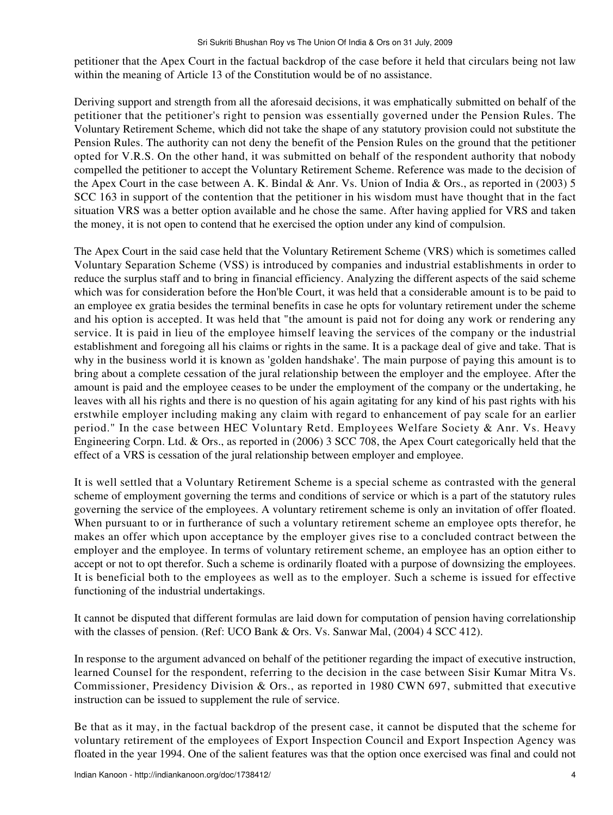petitioner that the Apex Court in the factual backdrop of the case before it held that circulars being not law within the meaning of Article 13 of the Constitution would be of no assistance.

Deriving support and strength from all the aforesaid decisions, it was emphatically submitted on behalf of the petitioner that the petitioner's right to pension was essentially governed under the Pension Rules. The Voluntary Retirement Scheme, which did not take the shape of any statutory provision could not substitute the Pension Rules. The authority can not deny the benefit of the Pension Rules on the ground that the petitioner opted for V.R.S. On the other hand, it was submitted on behalf of the respondent authority that nobody compelled the petitioner to accept the Voluntary Retirement Scheme. Reference was made to the decision of the Apex Court in the case between A. K. Bindal & Anr. Vs. Union of India & Ors., as reported in (2003) 5 SCC 163 in support of the contention that the petitioner in his wisdom must have thought that in the fact situation VRS was a better option available and he chose the same. After having applied for VRS and taken the money, it is not open to contend that he exercised the option under any kind of compulsion.

The Apex Court in the said case held that the Voluntary Retirement Scheme (VRS) which is sometimes called Voluntary Separation Scheme (VSS) is introduced by companies and industrial establishments in order to reduce the surplus staff and to bring in financial efficiency. Analyzing the different aspects of the said scheme which was for consideration before the Hon'ble Court, it was held that a considerable amount is to be paid to an employee ex gratia besides the terminal benefits in case he opts for voluntary retirement under the scheme and his option is accepted. It was held that "the amount is paid not for doing any work or rendering any service. It is paid in lieu of the employee himself leaving the services of the company or the industrial establishment and foregoing all his claims or rights in the same. It is a package deal of give and take. That is why in the business world it is known as 'golden handshake'. The main purpose of paying this amount is to bring about a complete cessation of the jural relationship between the employer and the employee. After the amount is paid and the employee ceases to be under the employment of the company or the undertaking, he leaves with all his rights and there is no question of his again agitating for any kind of his past rights with his erstwhile employer including making any claim with regard to enhancement of pay scale for an earlier period." In the case between HEC Voluntary Retd. Employees Welfare Society & Anr. Vs. Heavy Engineering Corpn. Ltd. & Ors., as reported in (2006) 3 SCC 708, the Apex Court categorically held that the effect of a VRS is cessation of the jural relationship between employer and employee.

It is well settled that a Voluntary Retirement Scheme is a special scheme as contrasted with the general scheme of employment governing the terms and conditions of service or which is a part of the statutory rules governing the service of the employees. A voluntary retirement scheme is only an invitation of offer floated. When pursuant to or in furtherance of such a voluntary retirement scheme an employee opts therefor, he makes an offer which upon acceptance by the employer gives rise to a concluded contract between the employer and the employee. In terms of voluntary retirement scheme, an employee has an option either to accept or not to opt therefor. Such a scheme is ordinarily floated with a purpose of downsizing the employees. It is beneficial both to the employees as well as to the employer. Such a scheme is issued for effective functioning of the industrial undertakings.

It cannot be disputed that different formulas are laid down for computation of pension having correlationship with the classes of pension. (Ref: UCO Bank & Ors. Vs. Sanwar Mal, (2004) 4 SCC 412).

In response to the argument advanced on behalf of the petitioner regarding the impact of executive instruction, learned Counsel for the respondent, referring to the decision in the case between Sisir Kumar Mitra Vs. Commissioner, Presidency Division & Ors., as reported in 1980 CWN 697, submitted that executive instruction can be issued to supplement the rule of service.

Be that as it may, in the factual backdrop of the present case, it cannot be disputed that the scheme for voluntary retirement of the employees of Export Inspection Council and Export Inspection Agency was floated in the year 1994. One of the salient features was that the option once exercised was final and could not